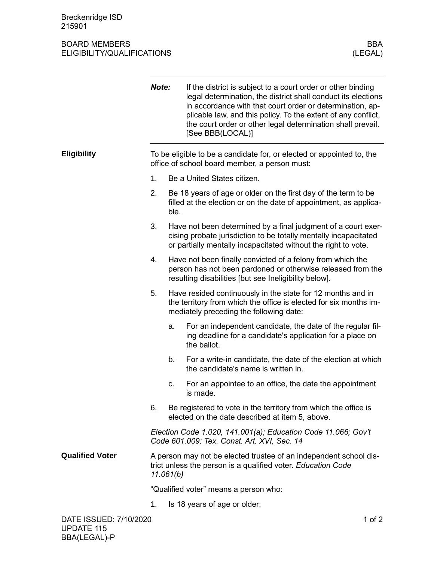## BOARD MEMBERS BOARD MEMBERS BOARD MEMBERS (LEGAL) ELIGIBILITY/QUALIFICATIONS

|                        | Note:                                                                                                                                          |      | If the district is subject to a court order or other binding<br>legal determination, the district shall conduct its elections<br>in accordance with that court order or determination, ap-<br>plicable law, and this policy. To the extent of any conflict,<br>the court order or other legal determination shall prevail.<br>[See BBB(LOCAL)] |  |
|------------------------|------------------------------------------------------------------------------------------------------------------------------------------------|------|------------------------------------------------------------------------------------------------------------------------------------------------------------------------------------------------------------------------------------------------------------------------------------------------------------------------------------------------|--|
| <b>Eligibility</b>     | To be eligible to be a candidate for, or elected or appointed to, the<br>office of school board member, a person must:                         |      |                                                                                                                                                                                                                                                                                                                                                |  |
|                        | 1.                                                                                                                                             |      | Be a United States citizen.                                                                                                                                                                                                                                                                                                                    |  |
|                        | 2.                                                                                                                                             | ble. | Be 18 years of age or older on the first day of the term to be<br>filled at the election or on the date of appointment, as applica-                                                                                                                                                                                                            |  |
|                        | 3.                                                                                                                                             |      | Have not been determined by a final judgment of a court exer-<br>cising probate jurisdiction to be totally mentally incapacitated<br>or partially mentally incapacitated without the right to vote.                                                                                                                                            |  |
|                        | 4.                                                                                                                                             |      | Have not been finally convicted of a felony from which the<br>person has not been pardoned or otherwise released from the<br>resulting disabilities [but see Ineligibility below].                                                                                                                                                             |  |
|                        | 5.                                                                                                                                             |      | Have resided continuously in the state for 12 months and in<br>the territory from which the office is elected for six months im-<br>mediately preceding the following date:                                                                                                                                                                    |  |
|                        |                                                                                                                                                | a.   | For an independent candidate, the date of the regular fil-<br>ing deadline for a candidate's application for a place on<br>the ballot.                                                                                                                                                                                                         |  |
|                        |                                                                                                                                                | b.   | For a write-in candidate, the date of the election at which<br>the candidate's name is written in.                                                                                                                                                                                                                                             |  |
|                        |                                                                                                                                                | C.   | For an appointee to an office, the date the appointment<br>is made.                                                                                                                                                                                                                                                                            |  |
|                        | 6.                                                                                                                                             |      | Be registered to vote in the territory from which the office is<br>elected on the date described at item 5, above.                                                                                                                                                                                                                             |  |
|                        | Election Code 1.020, 141.001(a); Education Code 11.066; Gov't<br>Code 601.009; Tex. Const. Art. XVI, Sec. 14                                   |      |                                                                                                                                                                                                                                                                                                                                                |  |
| <b>Qualified Voter</b> | A person may not be elected trustee of an independent school dis-<br>trict unless the person is a qualified voter. Education Code<br>11.061(b) |      |                                                                                                                                                                                                                                                                                                                                                |  |
|                        | "Qualified voter" means a person who:                                                                                                          |      |                                                                                                                                                                                                                                                                                                                                                |  |
|                        | 1.                                                                                                                                             |      | Is 18 years of age or older;                                                                                                                                                                                                                                                                                                                   |  |